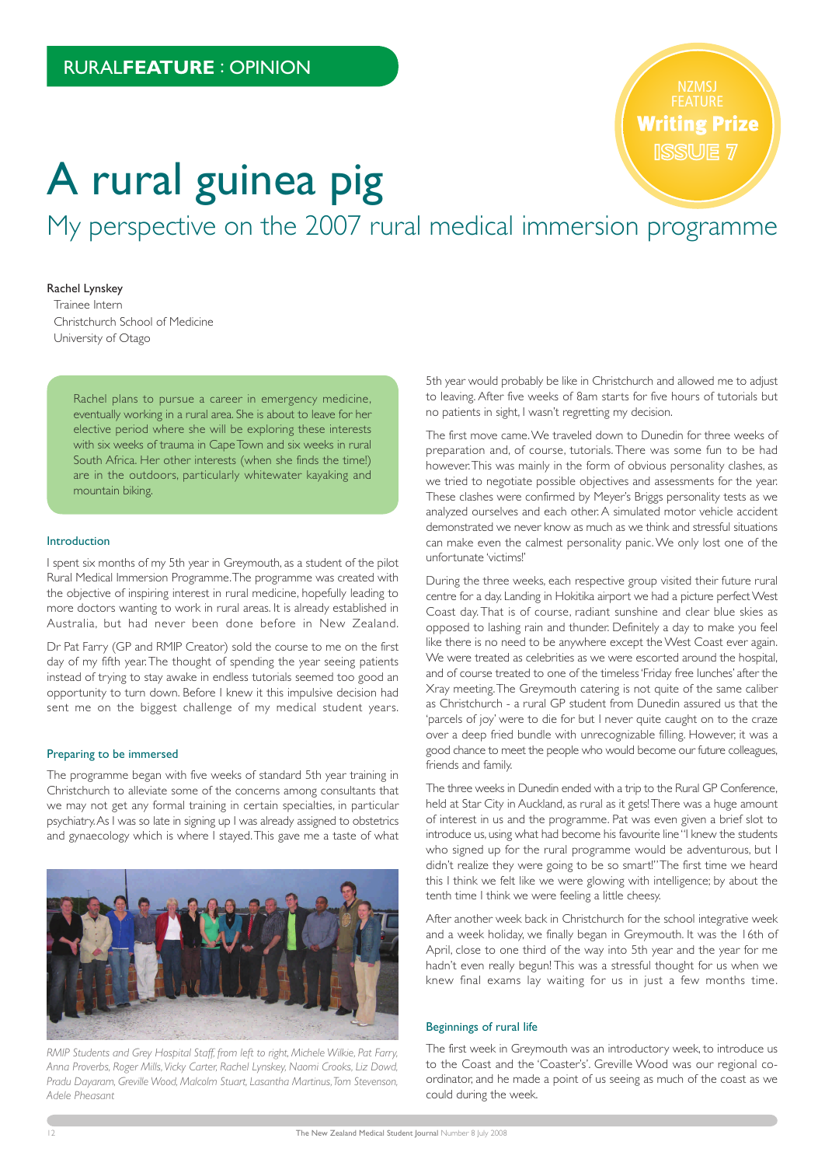FEATURE **Writing Prize** 

# A rural guinea pig

My perspective on the 2007 rural medical immersion programme

## Rachel Lynskey

Trainee Intern Christchurch School of Medicine University of Otago

> Rachel plans to pursue a career in emergency medicine, eventually working in a rural area. She is about to leave for her elective period where she will be exploring these interests with six weeks of trauma in Cape Town and six weeks in rural South Africa. Her other interests (when she finds the time!) are in the outdoors, particularly whitewater kayaking and mountain biking.

#### Introduction

I spent six months of my 5th year in Greymouth, as a student of the pilot Rural Medical Immersion Programme. The programme was created with the objective of inspiring interest in rural medicine, hopefully leading to more doctors wanting to work in rural areas. It is already established in Australia, but had never been done before in New Zealand.

Dr Pat Farry (GP and RMIP Creator) sold the course to me on the first day of my fifth year. The thought of spending the year seeing patients instead of trying to stay awake in endless tutorials seemed too good an opportunity to turn down. Before I knew it this impulsive decision had sent me on the biggest challenge of my medical student years.

# Preparing to be immersed

The programme began with five weeks of standard 5th year training in Christchurch to alleviate some of the concerns among consultants that we may not get any formal training in certain specialties, in particular psychiatry. As I was so late in signing up I was already assigned to obstetrics and gynaecology which is where I stayed. This gave me a taste of what



*RMIP Students and Grey Hospital Staff, from left to right, Michele Wilkie, Pat Farry, Anna Proverbs, Roger Mills, Vicky Carter, Rachel Lynskey, Naomi Crooks, Liz Dowd, Pradu Dayaram, Greville Wood, Malcolm Stuart, Lasantha Martinus, Tom Stevenson, Adele Pheasant*

5th year would probably be like in Christchurch and allowed me to adjust to leaving. After five weeks of 8am starts for five hours of tutorials but no patients in sight, I wasn't regretting my decision.

The first move came. We traveled down to Dunedin for three weeks of preparation and, of course, tutorials. There was some fun to be had however. This was mainly in the form of obvious personality clashes, as we tried to negotiate possible objectives and assessments for the year. These clashes were confirmed by Meyer's Briggs personality tests as we analyzed ourselves and each other. A simulated motor vehicle accident demonstrated we never know as much as we think and stressful situations can make even the calmest personality panic. We only lost one of the unfortunate 'victims!'

During the three weeks, each respective group visited their future rural centre for a day. Landing in Hokitika airport we had a picture perfect West Coast day. That is of course, radiant sunshine and clear blue skies as opposed to lashing rain and thunder. Definitely a day to make you feel like there is no need to be anywhere except the West Coast ever again. We were treated as celebrities as we were escorted around the hospital, and of course treated to one of the timeless 'Friday free lunches' after the Xray meeting. The Greymouth catering is not quite of the same caliber as Christchurch - a rural GP student from Dunedin assured us that the 'parcels of joy' were to die for but I never quite caught on to the craze over a deep fried bundle with unrecognizable filling. However, it was a good chance to meet the people who would become our future colleagues, friends and family.

The three weeks in Dunedin ended with a trip to the Rural GP Conference, held at Star City in Auckland, as rural as it gets! There was a huge amount of interest in us and the programme. Pat was even given a brief slot to introduce us, using what had become his favourite line "I knew the students who signed up for the rural programme would be adventurous, but I didn't realize they were going to be so smart!" The first time we heard this I think we felt like we were glowing with intelligence; by about the tenth time I think we were feeling a little cheesy.

After another week back in Christchurch for the school integrative week and a week holiday, we finally began in Greymouth. It was the 16th of April, close to one third of the way into 5th year and the year for me hadn't even really begun! This was a stressful thought for us when we knew final exams lay waiting for us in just a few months time.

#### Beginnings of rural life

The first week in Greymouth was an introductory week, to introduce us to the Coast and the 'Coaster's'. Greville Wood was our regional coordinator, and he made a point of us seeing as much of the coast as we could during the week.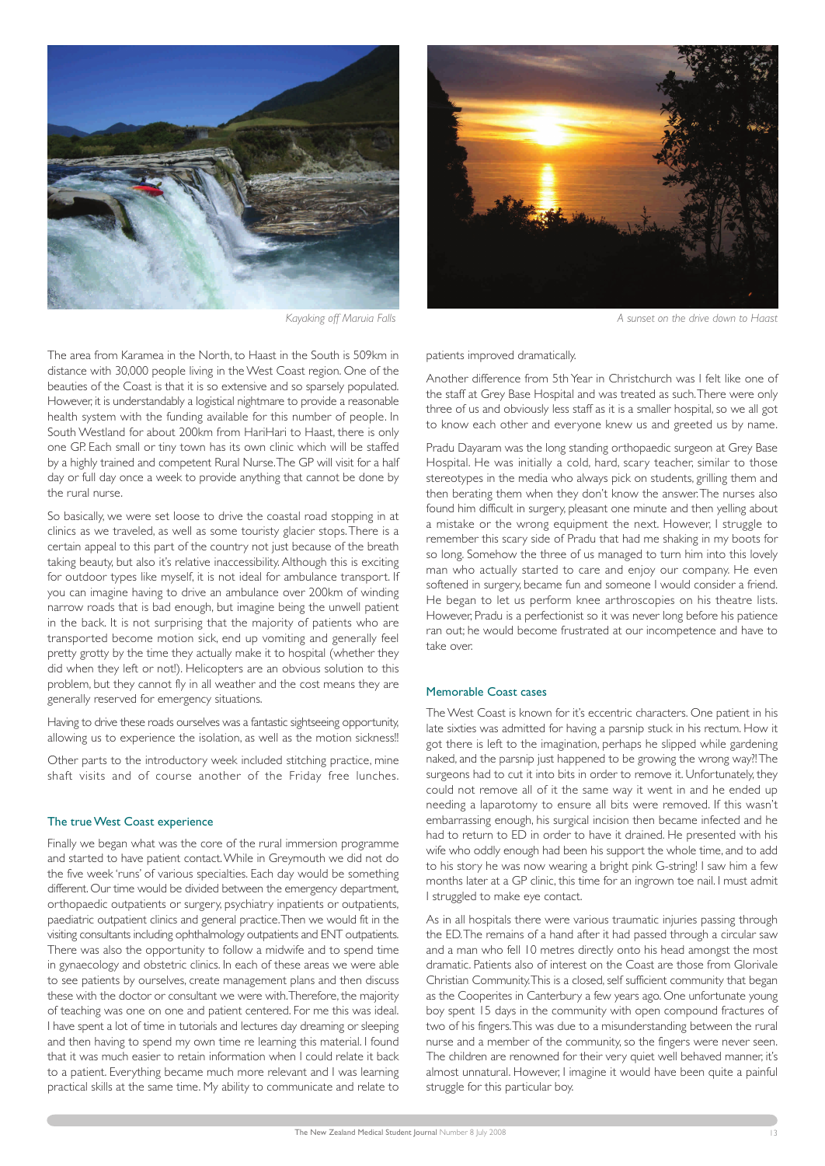

The area from Karamea in the North, to Haast in the South is 509km in distance with 30,000 people living in the West Coast region. One of the beauties of the Coast is that it is so extensive and so sparsely populated. However, it is understandably a logistical nightmare to provide a reasonable health system with the funding available for this number of people. In South Westland for about 200km from HariHari to Haast, there is only one GP. Each small or tiny town has its own clinic which will be staffed by a highly trained and competent Rural Nurse. The GP will visit for a half day or full day once a week to provide anything that cannot be done by the rural nurse.

So basically, we were set loose to drive the coastal road stopping in at clinics as we traveled, as well as some touristy glacier stops. There is a certain appeal to this part of the country not just because of the breath taking beauty, but also it's relative inaccessibility. Although this is exciting for outdoor types like myself, it is not ideal for ambulance transport. If you can imagine having to drive an ambulance over 200km of winding narrow roads that is bad enough, but imagine being the unwell patient in the back. It is not surprising that the majority of patients who are transported become motion sick, end up vomiting and generally feel pretty grotty by the time they actually make it to hospital (whether they did when they left or not!). Helicopters are an obvious solution to this problem, but they cannot fly in all weather and the cost means they are generally reserved for emergency situations.

Having to drive these roads ourselves was a fantastic sightseeing opportunity, allowing us to experience the isolation, as well as the motion sickness!!

Other parts to the introductory week included stitching practice, mine shaft visits and of course another of the Friday free lunches.

# The true West Coast experience

Finally we began what was the core of the rural immersion programme and started to have patient contact. While in Greymouth we did not do the five week 'runs' of various specialties. Each day would be something different. Our time would be divided between the emergency department, orthopaedic outpatients or surgery, psychiatry inpatients or outpatients, paediatric outpatient clinics and general practice. Then we would fit in the visiting consultants including ophthalmology outpatients and ENT outpatients. There was also the opportunity to follow a midwife and to spend time in gynaecology and obstetric clinics. In each of these areas we were able to see patients by ourselves, create management plans and then discuss these with the doctor or consultant we were with. Therefore, the majority of teaching was one on one and patient centered. For me this was ideal. I have spent a lot of time in tutorials and lectures day dreaming or sleeping and then having to spend my own time re learning this material. I found that it was much easier to retain information when I could relate it back to a patient. Everything became much more relevant and I was learning practical skills at the same time. My ability to communicate and relate to



*Kayaking off Maruia Falls A sunset on the drive down to Haast*

patients improved dramatically.

Another difference from 5th Year in Christchurch was I felt like one of the staff at Grey Base Hospital and was treated as such. There were only three of us and obviously less staff as it is a smaller hospital, so we all got to know each other and everyone knew us and greeted us by name.

Pradu Dayaram was the long standing orthopaedic surgeon at Grey Base Hospital. He was initially a cold, hard, scary teacher, similar to those stereotypes in the media who always pick on students, grilling them and then berating them when they don't know the answer. The nurses also found him difficult in surgery, pleasant one minute and then yelling about a mistake or the wrong equipment the next. However, I struggle to remember this scary side of Pradu that had me shaking in my boots for so long. Somehow the three of us managed to turn him into this lovely man who actually started to care and enjoy our company. He even softened in surgery, became fun and someone I would consider a friend. He began to let us perform knee arthroscopies on his theatre lists. However, Pradu is a perfectionist so it was never long before his patience ran out; he would become frustrated at our incompetence and have to take over.

#### Memorable Coast cases

The West Coast is known for it's eccentric characters. One patient in his late sixties was admitted for having a parsnip stuck in his rectum. How it got there is left to the imagination, perhaps he slipped while gardening naked, and the parsnip just happened to be growing the wrong way?! The surgeons had to cut it into bits in order to remove it. Unfortunately, they could not remove all of it the same way it went in and he ended up needing a laparotomy to ensure all bits were removed. If this wasn't embarrassing enough, his surgical incision then became infected and he had to return to ED in order to have it drained. He presented with his wife who oddly enough had been his support the whole time, and to add to his story he was now wearing a bright pink G-string! I saw him a few months later at a GP clinic, this time for an ingrown toe nail. I must admit I struggled to make eye contact.

As in all hospitals there were various traumatic injuries passing through the ED. The remains of a hand after it had passed through a circular saw and a man who fell 10 metres directly onto his head amongst the most dramatic. Patients also of interest on the Coast are those from Glorivale Christian Community. This is a closed, self sufficient community that began as the Cooperites in Canterbury a few years ago. One unfortunate young boy spent 15 days in the community with open compound fractures of two of his fingers. This was due to a misunderstanding between the rural nurse and a member of the community, so the fingers were never seen. The children are renowned for their very quiet well behaved manner, it's almost unnatural. However, I imagine it would have been quite a painful struggle for this particular boy.